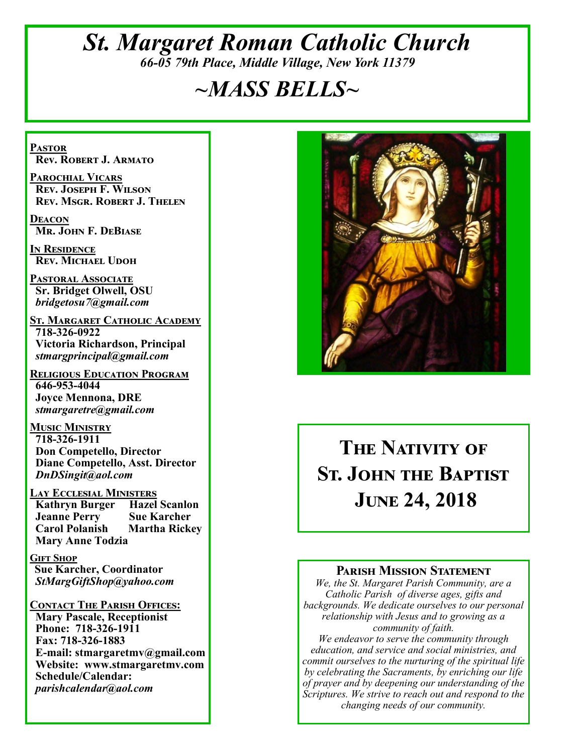# *St. Margaret Roman Catholic Church 66-05 79th Place, Middle Village, New York 11379*

# *~MASS BELLS~*

**Pastor Rev. Robert J. Armato**

**Parochial Vicars Rev. Joseph F. Wilson Rev. Msgr. Robert J. Thelen**

**Deacon Mr. John F. DeBiase** 

**In Residence Rev. Michael Udoh**

**Pastoral Associate Sr. Bridget Olwell, OSU**  *bridgetosu7@gmail.com*

**St. Margaret Catholic Academy 718-326-0922 Victoria Richardson, Principal**  *stmargprincipal@gmail.com*

**Religious Education Program 646-953-4044 Joyce Mennona, DRE** *stmargaretre@gmail.com*

**Music Ministry 718-326-1911 Don Competello, Director Diane Competello, Asst. Director** *DnDSingit@aol.com*

**LAY ECCLESIAL MINISTERS<br>
Kathryn Burger Hazel Scanlon Kathryn Burger Jeanne Perry Sue Karcher<br>Carol Polanish Martha Ricke Martha Rickey Mary Anne Todzia**

**Gift Shop Sue Karcher, Coordinator** *StMargGiftShop@yahoo.com*

**Contact The Parish Offices: Mary Pascale, Receptionist Phone: 718-326-1911 Fax: 718-326-1883 E-mail: stmargaretmv@gmail.com Website: www.stmargaretmv.com Schedule/Calendar:** *parishcalendar@aol.com* 



# **THE NATIVITY OF St. John the Baptist June 24, 2018**

#### **Parish Mission Statement**

*We, the St. Margaret Parish Community, are a Catholic Parish of diverse ages, gifts and backgrounds. We dedicate ourselves to our personal relationship with Jesus and to growing as a community of faith.*

*We endeavor to serve the community through education, and service and social ministries, and commit ourselves to the nurturing of the spiritual life by celebrating the Sacraments, by enriching our life of prayer and by deepening our understanding of the Scriptures. We strive to reach out and respond to the changing needs of our community.*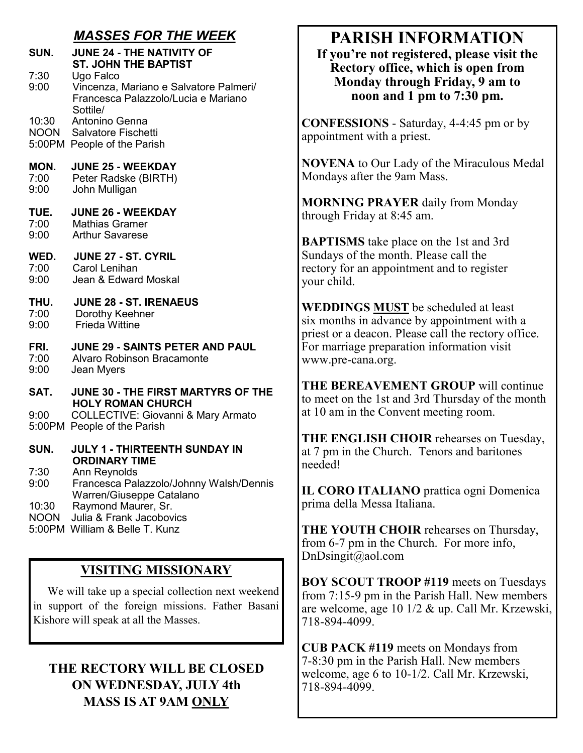## *MASSES FOR THE WEEK*

**SUN. JUNE 24 - THE NATIVITY OF ST. JOHN THE BAPTIST**<br>7:30 Ugo Falco

7:30 Ugo Falco 9:00 Vincenza, Mariano e Salvatore Palmeri/ Francesca Palazzolo/Lucia e Mariano Sottile/

10:30 Antonino Genna NOON Salvatore Fischetti

5:00PM People of the Parish

**MON. JUNE 25 - WEEKDAY**

7:00 Peter Radske (BIRTH) 9:00 John Mulligan

**TUE. JUNE 26 - WEEKDAY** 7:00 Mathias Gramer<br>9:00 Arthur Savarese

Arthur Savarese

**WED. JUNE 27 - ST. CYRIL**<br>7:00 **Carol Lenihan** 

7:00 Carol Lenihan<br>9:00 Jean & Edward 9:00 Jean & Edward Moskal

# **THU. JUNE 28 - ST. IRENAEUS**

- Dorothy Keehner
- 9:00 Frieda Wittine

#### **FRI. JUNE 29 - SAINTS PETER AND PAUL**

- 7:00 Alvaro Robinson Bracamonte
- 9:00 Jean Myers
- **SAT. JUNE 30 - THE FIRST MARTYRS OF THE HOLY ROMAN CHURCH**<br>8:00 COLLECTIVE: Giovanni &

9:00 COLLECTIVE: Giovanni & Mary Armato 5:00PM People of the Parish

**SUN. JULY 1 - THIRTEENTH SUNDAY IN ORDINARY TIME**<br>7:30 Ann Revnolds

Ann Reynolds

9:00 Francesca Palazzolo/Johnny Walsh/Dennis Warren/Giuseppe Catalano

10:30 Raymond Maurer, Sr.

NOON Julia & Frank Jacobovics

5:00PM William & Belle T. Kunz

## **VISITING MISSIONARY**

 We will take up a special collection next weekend in support of the foreign missions. Father Basani Kishore will speak at all the Masses.

## **THE RECTORY WILL BE CLOSED ON WEDNESDAY, JULY 4th MASS IS AT 9AM ONLY**

# **PARISH INFORMATION**

**If you're not registered, please visit the Rectory office, which is open from Monday through Friday, 9 am to noon and 1 pm to 7:30 pm.**

**CONFESSIONS** - Saturday, 4-4:45 pm or by appointment with a priest.

**NOVENA** to Our Lady of the Miraculous Medal Mondays after the 9am Mass.

**MORNING PRAYER** daily from Monday through Friday at 8:45 am.

**BAPTISMS** take place on the 1st and 3rd Sundays of the month. Please call the rectory for an appointment and to register your child.

**WEDDINGS MUST** be scheduled at least six months in advance by appointment with a priest or a deacon. Please call the rectory office. For marriage preparation information visit www.pre-cana.org.

**THE BEREAVEMENT GROUP** will continue to meet on the 1st and 3rd Thursday of the month at 10 am in the Convent meeting room.

**THE ENGLISH CHOIR** rehearses on Tuesday, at 7 pm in the Church. Tenors and baritones needed!

**IL CORO ITALIANO** prattica ogni Domenica prima della Messa Italiana.

**THE YOUTH CHOIR** rehearses on Thursday, from 6-7 pm in the Church. For more info, DnDsingit@aol.com

**BOY SCOUT TROOP #119** meets on Tuesdays from 7:15-9 pm in the Parish Hall. New members are welcome, age 10 1/2 & up. Call Mr. Krzewski, 718-894-4099.

**CUB PACK #119** meets on Mondays from 7-8:30 pm in the Parish Hall. New members welcome, age 6 to 10-1/2. Call Mr. Krzewski, 718-894-4099.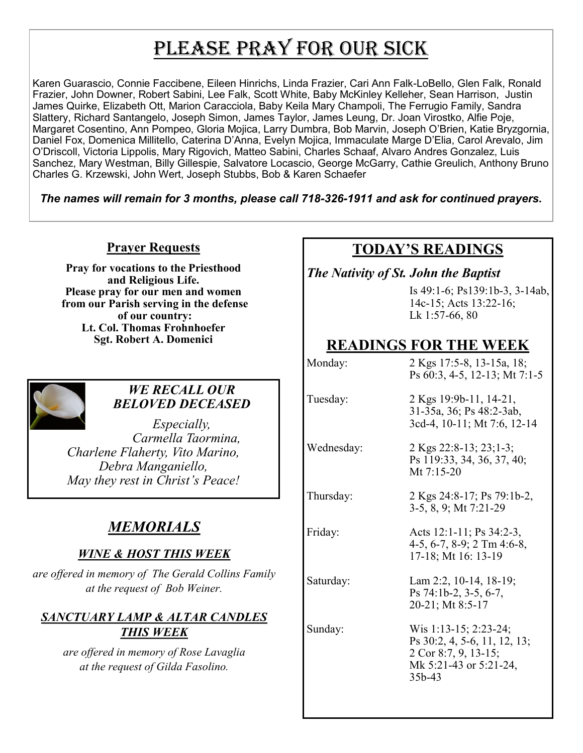# PLEASE PRAY FOR OUR SICK

Karen Guarascio, Connie Faccibene, Eileen Hinrichs, Linda Frazier, Cari Ann Falk-LoBello, Glen Falk, Ronald Frazier, John Downer, Robert Sabini, Lee Falk, Scott White, Baby McKinley Kelleher, Sean Harrison, Justin James Quirke, Elizabeth Ott, Marion Caracciola, Baby Keila Mary Champoli, The Ferrugio Family, Sandra Slattery, Richard Santangelo, Joseph Simon, James Taylor, James Leung, Dr. Joan Virostko, Alfie Poje, Margaret Cosentino, Ann Pompeo, Gloria Mojica, Larry Dumbra, Bob Marvin, Joseph O'Brien, Katie Bryzgornia, Daniel Fox, Domenica Millitello, Caterina D'Anna, Evelyn Mojica, Immaculate Marge D'Elia, Carol Arevalo, Jim O'Driscoll, Victoria Lippolis, Mary Rigovich, Matteo Sabini, Charles Schaaf, Alvaro Andres Gonzalez, Luis Sanchez, Mary Westman, Billy Gillespie, Salvatore Locascio, George McGarry, Cathie Greulich, Anthony Bruno Charles G. Krzewski, John Wert, Joseph Stubbs, Bob & Karen Schaefer

*The names will remain for 3 months, please call 718-326-1911 and ask for continued prayers.*

#### **Prayer Requests**

**Pray for vocations to the Priesthood and Religious Life. Please pray for our men and women from our Parish serving in the defense of our country: Lt. Col. Thomas Frohnhoefer Sgt. Robert A. Domenici** 



#### *WE RECALL OUR BELOVED DECEASED*

*Especially, Carmella Taormina, Charlene Flaherty, Vito Marino, Debra Manganiello, May they rest in Christ's Peace!*

## *MEMORIALS*

#### *WINE & HOST THIS WEEK*

*are offered in memory of The Gerald Collins Family at the request of Bob Weiner.* 

## *SANCTUARY LAMP & ALTAR CANDLES THIS WEEK*

*are offered in memory of Rose Lavaglia at the request of Gilda Fasolino.*

## **TODAY'S READINGS**

*The Nativity of St. John the Baptist*

Is 49:1-6; Ps139:1b-3, 3-14ab, 14c-15; Acts 13:22-16; Lk 1:57-66, 80

## **READINGS FOR THE WEEK**

| 2 Kgs 17:5-8, 13-15a, 18;<br>Ps 60:3, 4-5, 12-13; Mt 7:1-5                                                        |
|-------------------------------------------------------------------------------------------------------------------|
| 2 Kgs 19:9b-11, 14-21,<br>31-35a, 36; Ps 48:2-3ab,<br>3cd-4, 10-11; Mt 7:6, 12-14                                 |
| 2 Kgs 22:8-13; 23;1-3;<br>Ps 119:33, 34, 36, 37, 40;<br>Mt $7:15-20$                                              |
| 2 Kgs 24:8-17; Ps 79:1b-2,<br>3-5, 8, 9; Mt 7:21-29                                                               |
| Acts 12:1-11; Ps 34:2-3,<br>4-5, 6-7, 8-9; 2 Tm 4:6-8,<br>17-18; Mt 16: 13-19                                     |
| Lam 2:2, 10-14, 18-19;<br>Ps 74:1b-2, 3-5, 6-7,<br>20-21; Mt 8:5-17                                               |
| Wis 1:13-15; 2:23-24;<br>Ps 30:2, 4, 5-6, 11, 12, 13;<br>2 Cor 8:7, 9, 13-15;<br>Mk 5:21-43 or 5:21-24,<br>35b-43 |
|                                                                                                                   |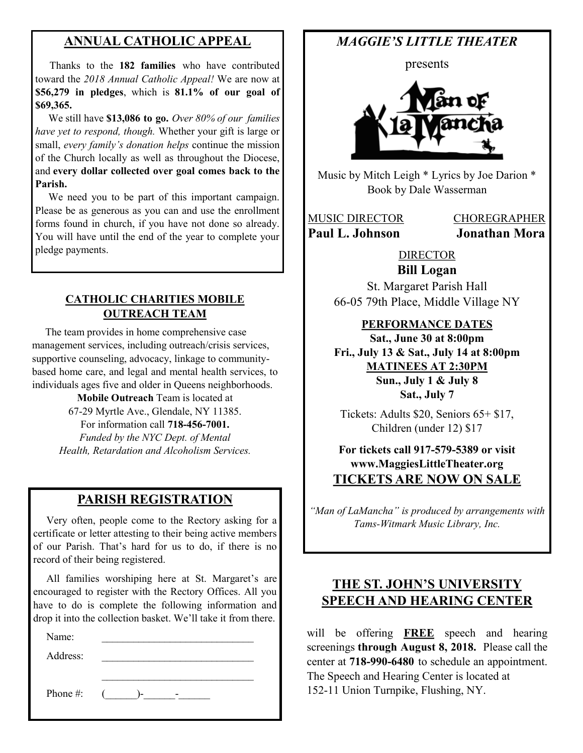#### **ANNUAL CATHOLIC APPEAL**

 Thanks to the **182 families** who have contributed toward the *2018 Annual Catholic Appeal!* We are now at **\$56,279 in pledges**, which is **81.1% of our goal of \$69,365.** 

 We still have **\$13,086 to go.** *Over 80% of our families have yet to respond, though.* Whether your gift is large or small, *every family's donation helps* continue the mission of the Church locally as well as throughout the Diocese, and **every dollar collected over goal comes back to the Parish.** 

 We need you to be part of this important campaign. Please be as generous as you can and use the enrollment forms found in church, if you have not done so already. You will have until the end of the year to complete your pledge payments.

#### **CATHOLIC CHARITIES MOBILE OUTREACH TEAM**

 The team provides in home comprehensive case management services, including outreach/crisis services, supportive counseling, advocacy, linkage to communitybased home care, and legal and mental health services, to individuals ages five and older in Queens neighborhoods.

> **Mobile Outreach** Team is located at 67-29 Myrtle Ave., Glendale, NY 11385. For information call **718-456-7001.**  *Funded by the NYC Dept. of Mental Health, Retardation and Alcoholism Services.*

#### **PARISH REGISTRATION**

 Very often, people come to the Rectory asking for a certificate or letter attesting to their being active members of our Parish. That's hard for us to do, if there is no record of their being registered.

 All families worshiping here at St. Margaret's are encouraged to register with the Rectory Offices. All you have to do is complete the following information and drop it into the collection basket. We'll take it from there.

 $\mathcal{L}_\text{max}$  , where  $\mathcal{L}_\text{max}$  , we have the set of  $\mathcal{L}_\text{max}$ 

Name:

Address:

Phone #:  $($  -  $)$ -  $-$ 

## *MAGGIE'S LITTLE THEATER*

presents



Music by Mitch Leigh \* Lyrics by Joe Darion \* Book by Dale Wasserman

MUSIC DIRECTOR CHOREGRAPHER **Paul L. Johnson Jonathan Mora**

DIRECTOR

**Bill Logan** St. Margaret Parish Hall 66-05 79th Place, Middle Village NY

#### **PERFORMANCE DATES**

**Sat., June 30 at 8:00pm Fri., July 13 & Sat., July 14 at 8:00pm MATINEES AT 2:30PM Sun., July 1 & July 8 Sat., July 7**

Tickets: Adults \$20, Seniors 65+ \$17, Children (under 12) \$17

#### **For tickets call 917-579-5389 or visit www.MaggiesLittleTheater.org TICKETS ARE NOW ON SALE**

*"Man of LaMancha" is produced by arrangements with Tams-Witmark Music Library, Inc.*

## **THE ST. JOHN'S UNIVERSITY SPEECH AND HEARING CENTER**

will be offering **FREE** speech and hearing screenings **through August 8, 2018.** Please call the center at **718-990-6480** to schedule an appointment. The Speech and Hearing Center is located at 152-11 Union Turnpike, Flushing, NY.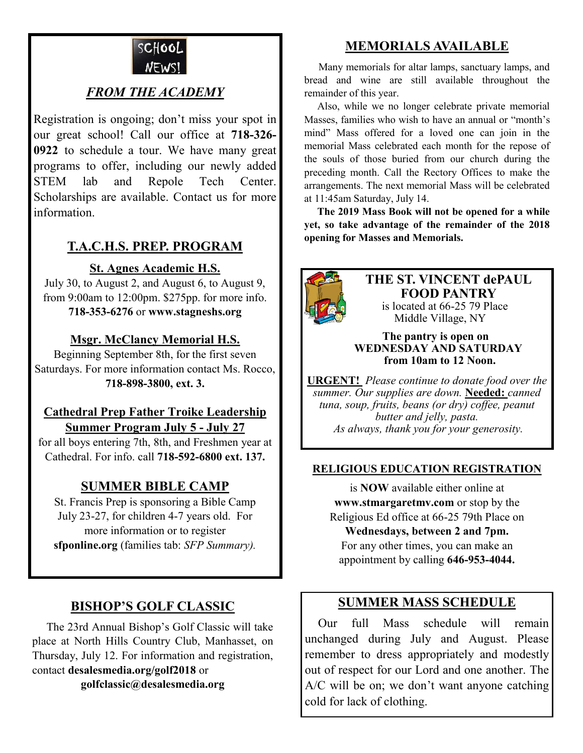

## *FROM THE ACADEMY*

Registration is ongoing; don't miss your spot in our great school! Call our office at **718-326- 0922** to schedule a tour. We have many great programs to offer, including our newly added STEM lab and Repole Tech Center. Scholarships are available. Contact us for more information.

## **T.A.C.H.S. PREP. PROGRAM**

#### **St. Agnes Academic H.S.**

July 30, to August 2, and August 6, to August 9, from 9:00am to 12:00pm. \$275pp. for more info. **718-353-6276** or **www.stagneshs.org**

#### **Msgr. McClancy Memorial H.S.**

Beginning September 8th, for the first seven Saturdays. For more information contact Ms. Rocco, **718-898-3800, ext. 3.**

#### **Cathedral Prep Father Troike Leadership Summer Program July 5 - July 27**

for all boys entering 7th, 8th, and Freshmen year at Cathedral. For info. call **718-592-6800 ext. 137.**

#### **SUMMER BIBLE CAMP**

St. Francis Prep is sponsoring a Bible Camp July 23-27, for children 4-7 years old. For more information or to register **sfponline.org** (families tab: *SFP Summary).*

#### **BISHOP'S GOLF CLASSIC**

 The 23rd Annual Bishop's Golf Classic will take place at North Hills Country Club, Manhasset, on Thursday, July 12. For information and registration, contact **desalesmedia.org/golf2018** or

**golfclassic@desalesmedia.org**

## **MEMORIALS AVAILABLE**

Many memorials for altar lamps, sanctuary lamps, and bread and wine are still available throughout the remainder of this year.

 Also, while we no longer celebrate private memorial Masses, families who wish to have an annual or "month's mind" Mass offered for a loved one can join in the memorial Mass celebrated each month for the repose of the souls of those buried from our church during the preceding month. Call the Rectory Offices to make the arrangements. The next memorial Mass will be celebrated at 11:45am Saturday, July 14.

 **The 2019 Mass Book will not be opened for a while yet, so take advantage of the remainder of the 2018 opening for Masses and Memorials.**



**THE ST. VINCENT dePAUL FOOD PANTRY** is located at 66-25 79 Place Middle Village, NY

#### **The pantry is open on WEDNESDAY AND SATURDAY from 10am to 12 Noon.**

**URGENT!** *Please continue to donate food over the summer. Our supplies are down.* **Needed:** *canned tuna, soup, fruits, beans (or dry) coffee, peanut butter and jelly, pasta. As always, thank you for your generosity.*

#### **RELIGIOUS EDUCATION REGISTRATION**

is **NOW** available either online at **www.stmargaretmv.com** or stop by the Religious Ed office at 66-25 79th Place on **Wednesdays, between 2 and 7pm.** For any other times, you can make an appointment by calling **646-953-4044.**

#### **SUMMER MASS SCHEDULE**

 Our full Mass schedule will remain unchanged during July and August. Please remember to dress appropriately and modestly out of respect for our Lord and one another. The A/C will be on; we don't want anyone catching cold for lack of clothing.